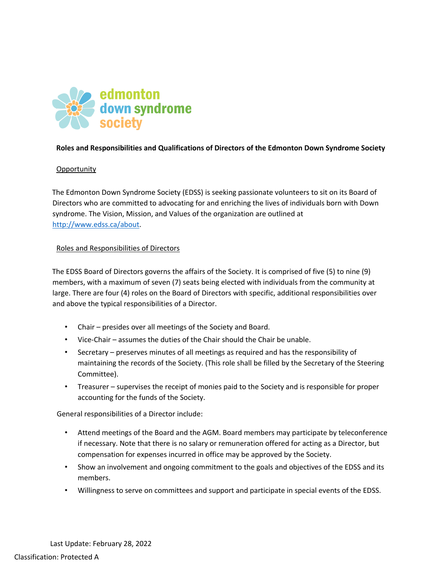

## **Roles and Responsibilities and Qualifications of Directors of the Edmonton Down Syndrome Society**

## **Opportunity**

The Edmonton Down Syndrome Society (EDSS) is seeking passionate volunteers to sit on its Board of Directors who are committed to advocating for and enriching the lives of individuals born with Down syndrome. The Vision, Mission, and Values of the organization are outlined at http://www.edss.ca/about.

#### Roles and Responsibilities of Directors

The EDSS Board of Directors governs the affairs of the Society. It is comprised of five (5) to nine (9) members, with a maximum of seven (7) seats being elected with individuals from the community at large. There are four (4) roles on the Board of Directors with specific, additional responsibilities over and above the typical responsibilities of a Director.

- Chair presides over all meetings of the Society and Board.
- Vice-Chair assumes the duties of the Chair should the Chair be unable.
- Secretary preserves minutes of all meetings as required and has the responsibility of maintaining the records of the Society. (This role shall be filled by the Secretary of the Steering Committee).
- Treasurer supervises the receipt of monies paid to the Society and is responsible for proper accounting for the funds of the Society.

General responsibilities of a Director include:

- Attend meetings of the Board and the AGM. Board members may participate by teleconference if necessary. Note that there is no salary or remuneration offered for acting as a Director, but compensation for expenses incurred in office may be approved by the Society.
- Show an involvement and ongoing commitment to the goals and objectives of the EDSS and its members.
- Willingness to serve on committees and support and participate in special events of the EDSS.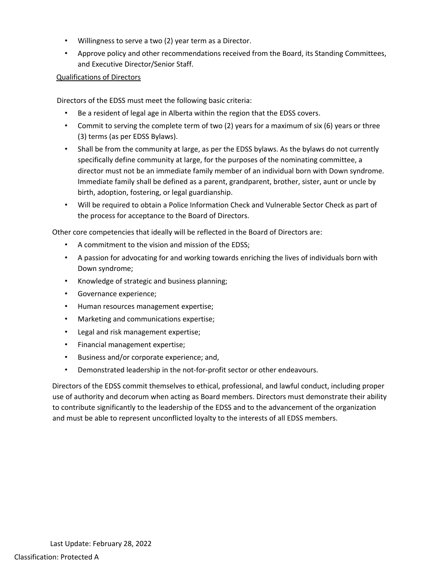- Willingness to serve a two (2) year term as a Director.
- Approve policy and other recommendations received from the Board, its Standing Committees, and Executive Director/Senior Staff.

# Qualifications of Directors

Directors of the EDSS must meet the following basic criteria:

- Be a resident of legal age in Alberta within the region that the EDSS covers.
- Commit to serving the complete term of two (2) years for a maximum of six (6) years or three (3) terms (as per EDSS Bylaws).
- Shall be from the community at large, as per the EDSS bylaws. As the bylaws do not currently specifically define community at large, for the purposes of the nominating committee, a director must not be an immediate family member of an individual born with Down syndrome. Immediate family shall be defined as a parent, grandparent, brother, sister, aunt or uncle by birth, adoption, fostering, or legal guardianship.
- Will be required to obtain a Police Information Check and Vulnerable Sector Check as part of the process for acceptance to the Board of Directors.

Other core competencies that ideally will be reflected in the Board of Directors are:

- A commitment to the vision and mission of the EDSS;
- A passion for advocating for and working towards enriching the lives of individuals born with Down syndrome;
- Knowledge of strategic and business planning;
- Governance experience;
- Human resources management expertise;
- Marketing and communications expertise;
- Legal and risk management expertise;
- Financial management expertise;
- Business and/or corporate experience; and,
- Demonstrated leadership in the not-for-profit sector or other endeavours.

Directors of the EDSS commit themselves to ethical, professional, and lawful conduct, including proper use of authority and decorum when acting as Board members. Directors must demonstrate their ability to contribute significantly to the leadership of the EDSS and to the advancement of the organization and must be able to represent unconflicted loyalty to the interests of all EDSS members.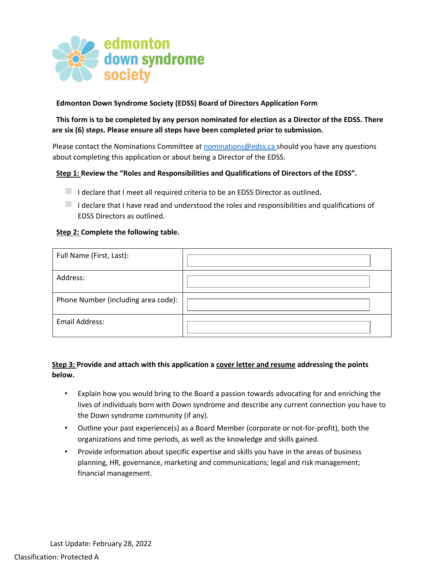

# **Edmonton Down Syndrome Society (EDSS) Board of Directors Application Form**

**This form is to be completed by any person nominated for election as a Director of the EDSS. There are six (6) steps. Please ensure all steps have been completed prior to submission.**

Please contact the Nominations Committee at nominations@edss.ca should you have any questions about completing this application or about being a Director of the EDSS.

#### **Step 1: Review the "Roles and Responsibilities and Qualifications of Directors of the EDSS".**

◻ I declare that I meet all required criteria to be an EDSS Director as outlined**.**

 $\Box$  I declare that I have read and understood the roles and responsibilities and qualifications of EDSS Directors as outlined.

#### **Step 2: Complete the following table.**

| Full Name (First, Last):            |  |
|-------------------------------------|--|
| Address:                            |  |
| Phone Number (including area code): |  |
| <b>Email Address:</b>               |  |

# **Step 3: Provide and attach with this application a cover letter and resume addressing the points below.**

- Explain how you would bring to the Board a passion towards advocating for and enriching the lives of individuals born with Down syndrome and describe any current connection you have to the Down syndrome community (if any).
- Outline your past experience(s) as a Board Member (corporate or not-for-profit), both the organizations and time periods, as well as the knowledge and skills gained.
- Provide information about specific expertise and skills you have in the areas of business planning, HR, governance, marketing and communications; legal and risk management; financial management.